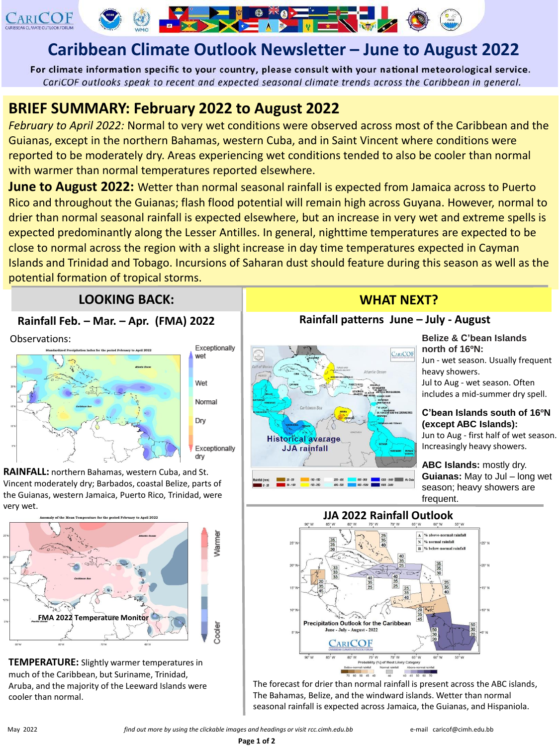

# **Caribbean Climate Outlook Newsletter – June to August 2022**

 $\sum$ 

**The State of A** 

For climate information specific to your country, please consult with your national meteorological service. CariCOF outlooks speak to recent and expected seasonal climate trends across the Caribbean in general.

# **BRIEF SUMMARY: February 2022 to August 2022**

*February to April 2022:* Normal to very wet conditions were observed across most of the Caribbean and the Guianas, except in the northern Bahamas, western Cuba, and in Saint Vincent where conditions were reported to be moderately dry. Areas experiencing wet conditions tended to also be cooler than normal with warmer than normal temperatures reported elsewhere.

**June to August 2022:** Wetter than normal seasonal rainfall is expected from Jamaica across to Puerto Rico and throughout the Guianas; flash flood potential will remain high across Guyana. However, normal to drier than normal seasonal rainfall is expected elsewhere, but an increase in very wet and extreme spells is expected predominantly along the Lesser Antilles. In general, nighttime temperatures are expected to be close to normal across the region with a slight increase in day time temperatures expected in Cayman Islands and Trinidad and Tobago. Incursions of Saharan dust should feature during this season as well as the potential formation of tropical storms.

## **LOOKING BACK:** WHAT NEXT?

## **Rainfall Feb. – Mar. – Apr. (FMA) 2022**

Observations:



**RAINFALL:** northern Bahamas, western Cuba, and St. Vincent moderately dry; Barbados, coastal Belize, parts of the Guianas, western Jamaica, Puerto Rico, Trinidad, were very wet.



**TEMPERATURE:** Slightly warmer temperatures in much of the Caribbean, but Suriname, Trinidad, Aruba, and the majority of the Leeward Islands were cooler than normal.

#### **Rainfall patterns June – July - August**



**Belize & C'bean Islands north of 16ºN:** Jun - wet season. Usually frequent heavy showers. Jul to Aug - wet season. Often includes a mid-summer dry spell.

#### **C'bean Islands south of 16ºN (except ABC Islands):**

Jun to Aug - first half of wet season. Increasingly heavy showers.

**ABC Islands:** mostly dry. **Guianas:** May to Jul – long wet season; heavy showers are frequent.





The forecast for drier than normal rainfall is present across the ABC islands, The Bahamas, Belize, and the windward islands. Wetter than normal seasonal rainfall is expected across Jamaica, the Guianas, and Hispaniola.